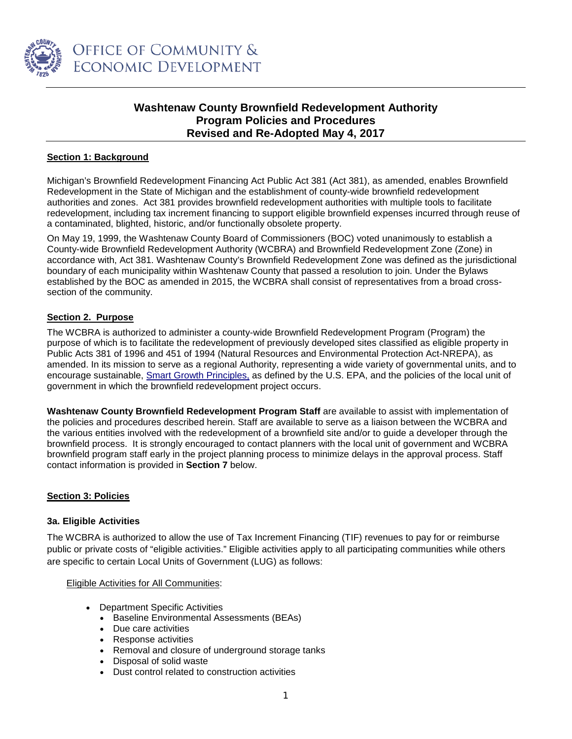

# **Washtenaw County Brownfield Redevelopment Authority Program Policies and Procedures Revised and Re-Adopted May 4, 2017**

# **Section 1: Background**

Michigan's Brownfield Redevelopment Financing Act Public Act 381 (Act 381), as amended, enables Brownfield Redevelopment in the State of Michigan and the establishment of county-wide brownfield redevelopment authorities and zones. Act 381 provides brownfield redevelopment authorities with multiple tools to facilitate redevelopment, including tax increment financing to support eligible brownfield expenses incurred through reuse of a contaminated, blighted, historic, and/or functionally obsolete property.

On May 19, 1999, the Washtenaw County Board of Commissioners (BOC) voted unanimously to establish a County-wide Brownfield Redevelopment Authority (WCBRA) and Brownfield Redevelopment Zone (Zone) in accordance with, Act 381. Washtenaw County's Brownfield Redevelopment Zone was defined as the jurisdictional boundary of each municipality within Washtenaw County that passed a resolution to join. Under the Bylaws established by the BOC as amended in 2015, the WCBRA shall consist of representatives from a broad crosssection of the community.

# **Section 2. Purpose**

The WCBRA is authorized to administer a county-wide Brownfield Redevelopment Program (Program) the purpose of which is to facilitate the redevelopment of previously developed sites classified as eligible property in Public Acts 381 of 1996 and 451 of 1994 (Natural Resources and Environmental Protection Act-NREPA), as amended. In its mission to serve as a regional Authority, representing a wide variety of governmental units, and to encourage sustainable, [Smart Growth](http://www.epa.gov/smartgrowth/about_sg.htm%23principles) Principles, as defined by the U.S. EPA, and the policies of the local unit of government in which the brownfield redevelopment project occurs.

**Washtenaw County Brownfield Redevelopment Program Staff** are available to assist with implementation of the policies and procedures described herein. Staff are available to serve as a liaison between the WCBRA and the various entities involved with the redevelopment of a brownfield site and/or to guide a developer through the brownfield process. It is strongly encouraged to contact planners with the local unit of government and WCBRA brownfield program staff early in the project planning process to minimize delays in the approval process. Staff contact information is provided in **Section 7** below.

# **Section 3: Policies**

### **3a. Eligible Activities**

The WCBRA is authorized to allow the use of Tax Increment Financing (TIF) revenues to pay for or reimburse public or private costs of "eligible activities." Eligible activities apply to all participating communities while others are specific to certain Local Units of Government (LUG) as follows:

### Eligible Activities for All Communities:

- Department Specific Activities
	- Baseline Environmental Assessments (BEAs)
	- Due care activities
	- Response activities
	- Removal and closure of underground storage tanks
	- Disposal of solid waste
	- Dust control related to construction activities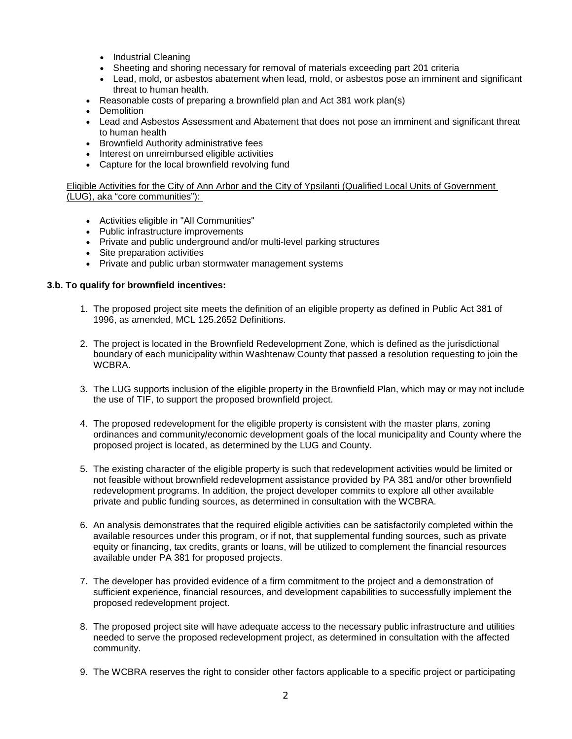- Industrial Cleaning
- Sheeting and shoring necessary for removal of materials exceeding part 201 criteria
- Lead, mold, or asbestos abatement when lead, mold, or asbestos pose an imminent and significant threat to human health.
- Reasonable costs of preparing a brownfield plan and Act 381 work plan(s)
- Demolition
- Lead and Asbestos Assessment and Abatement that does not pose an imminent and significant threat to human health
- Brownfield Authority administrative fees
- Interest on unreimbursed eligible activities
- Capture for the local brownfield revolving fund

Eligible Activities for the City of Ann Arbor and the City of Ypsilanti (Qualified Local Units of Government (LUG), aka "core communities"):

- Activities eligible in "All Communities"
- Public infrastructure improvements
- Private and public underground and/or multi-level parking structures
- Site preparation activities
- Private and public urban stormwater management systems

### **3.b. To qualify for brownfield incentives:**

- 1. The proposed project site meets the definition of an eligible property as defined in Public Act 381 of 1996, as amended, MCL 125.2652 Definitions.
- 2. The project is located in the Brownfield Redevelopment Zone, which is defined as the jurisdictional boundary of each municipality within Washtenaw County that passed a resolution requesting to join the WCBRA.
- 3. The LUG supports inclusion of the eligible property in the Brownfield Plan, which may or may not include the use of TIF, to support the proposed brownfield project.
- 4. The proposed redevelopment for the eligible property is consistent with the master plans, zoning ordinances and community/economic development goals of the local municipality and County where the proposed project is located, as determined by the LUG and County.
- 5. The existing character of the eligible property is such that redevelopment activities would be limited or not feasible without brownfield redevelopment assistance provided by PA 381 and/or other brownfield redevelopment programs. In addition, the project developer commits to explore all other available private and public funding sources, as determined in consultation with the WCBRA.
- 6. An analysis demonstrates that the required eligible activities can be satisfactorily completed within the available resources under this program, or if not, that supplemental funding sources, such as private equity or financing, tax credits, grants or loans, will be utilized to complement the financial resources available under PA 381 for proposed projects.
- 7. The developer has provided evidence of a firm commitment to the project and a demonstration of sufficient experience, financial resources, and development capabilities to successfully implement the proposed redevelopment project.
- 8. The proposed project site will have adequate access to the necessary public infrastructure and utilities needed to serve the proposed redevelopment project, as determined in consultation with the affected community.
- 9. The WCBRA reserves the right to consider other factors applicable to a specific project or participating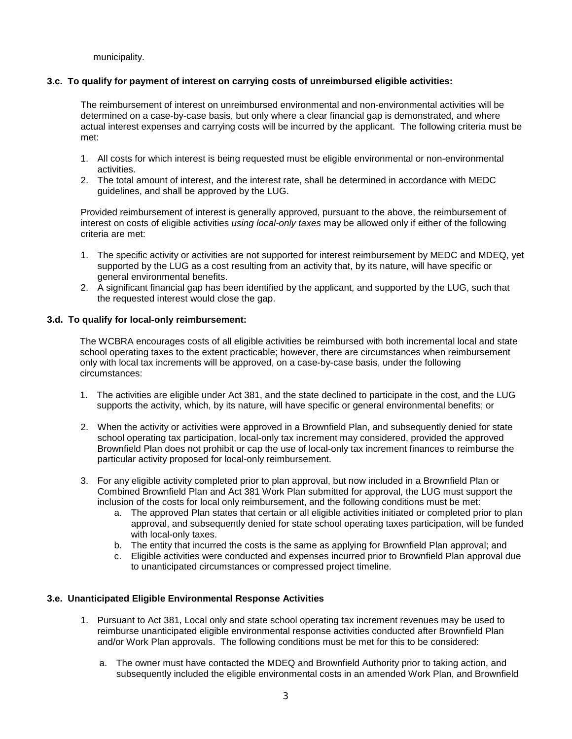municipality.

## **3.c. To qualify for payment of interest on carrying costs of unreimbursed eligible activities:**

The reimbursement of interest on unreimbursed environmental and non-environmental activities will be determined on a case-by-case basis, but only where a clear financial gap is demonstrated, and where actual interest expenses and carrying costs will be incurred by the applicant. The following criteria must be met:

- 1. All costs for which interest is being requested must be eligible environmental or non-environmental activities.
- 2. The total amount of interest, and the interest rate, shall be determined in accordance with MEDC guidelines, and shall be approved by the LUG.

Provided reimbursement of interest is generally approved, pursuant to the above, the reimbursement of interest on costs of eligible activities *using local-only taxes* may be allowed only if either of the following criteria are met:

- 1. The specific activity or activities are not supported for interest reimbursement by MEDC and MDEQ, yet supported by the LUG as a cost resulting from an activity that, by its nature, will have specific or general environmental benefits.
- 2. A significant financial gap has been identified by the applicant, and supported by the LUG, such that the requested interest would close the gap.

## **3.d. To qualify for local-only reimbursement:**

The WCBRA encourages costs of all eligible activities be reimbursed with both incremental local and state school operating taxes to the extent practicable; however, there are circumstances when reimbursement only with local tax increments will be approved, on a case-by-case basis, under the following circumstances:

- 1. The activities are eligible under Act 381, and the state declined to participate in the cost, and the LUG supports the activity, which, by its nature, will have specific or general environmental benefits; or
- 2. When the activity or activities were approved in a Brownfield Plan, and subsequently denied for state school operating tax participation, local-only tax increment may considered, provided the approved Brownfield Plan does not prohibit or cap the use of local-only tax increment finances to reimburse the particular activity proposed for local-only reimbursement.
- 3. For any eligible activity completed prior to plan approval, but now included in a Brownfield Plan or Combined Brownfield Plan and Act 381 Work Plan submitted for approval, the LUG must support the inclusion of the costs for local only reimbursement, and the following conditions must be met:
	- a. The approved Plan states that certain or all eligible activities initiated or completed prior to plan approval, and subsequently denied for state school operating taxes participation, will be funded with local-only taxes.
	- b. The entity that incurred the costs is the same as applying for Brownfield Plan approval; and
	- c. Eligible activities were conducted and expenses incurred prior to Brownfield Plan approval due to unanticipated circumstances or compressed project timeline.

# **3.e. Unanticipated Eligible Environmental Response Activities**

- 1. Pursuant to Act 381, Local only and state school operating tax increment revenues may be used to reimburse unanticipated eligible environmental response activities conducted after Brownfield Plan and/or Work Plan approvals. The following conditions must be met for this to be considered:
	- a. The owner must have contacted the MDEQ and Brownfield Authority prior to taking action, and subsequently included the eligible environmental costs in an amended Work Plan, and Brownfield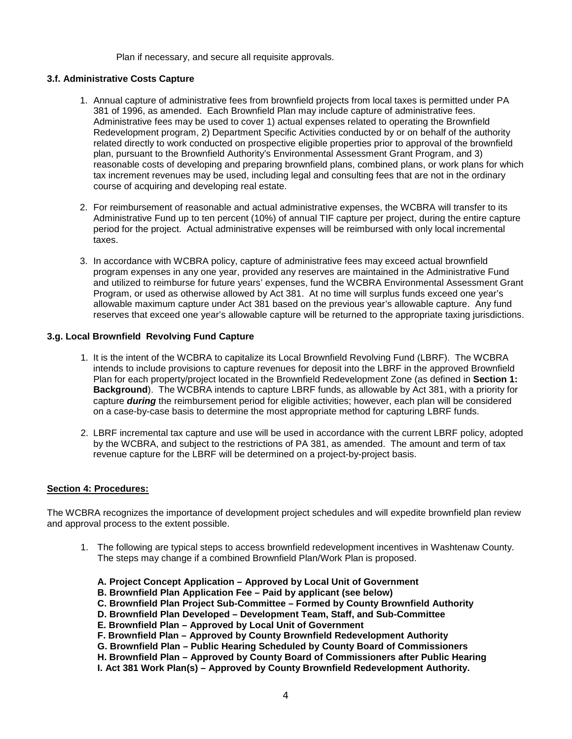Plan if necessary, and secure all requisite approvals.

### **3.f. Administrative Costs Capture**

- 1. Annual capture of administrative fees from brownfield projects from local taxes is permitted under PA 381 of 1996, as amended. Each Brownfield Plan may include capture of administrative fees. Administrative fees may be used to cover 1) actual expenses related to operating the Brownfield Redevelopment program, 2) Department Specific Activities conducted by or on behalf of the authority related directly to work conducted on prospective eligible properties prior to approval of the brownfield plan, pursuant to the Brownfield Authority's Environmental Assessment Grant Program, and 3) reasonable costs of developing and preparing brownfield plans, combined plans, or work plans for which tax increment revenues may be used, including legal and consulting fees that are not in the ordinary course of acquiring and developing real estate.
- 2. For reimbursement of reasonable and actual administrative expenses, the WCBRA will transfer to its Administrative Fund up to ten percent (10%) of annual TIF capture per project, during the entire capture period for the project. Actual administrative expenses will be reimbursed with only local incremental taxes.
- 3. In accordance with WCBRA policy, capture of administrative fees may exceed actual brownfield program expenses in any one year, provided any reserves are maintained in the Administrative Fund and utilized to reimburse for future years' expenses, fund the WCBRA Environmental Assessment Grant Program, or used as otherwise allowed by Act 381. At no time will surplus funds exceed one year's allowable maximum capture under Act 381 based on the previous year's allowable capture. Any fund reserves that exceed one year's allowable capture will be returned to the appropriate taxing jurisdictions.

## **3.g. Local Brownfield Revolving Fund Capture**

- 1. It is the intent of the WCBRA to capitalize its Local Brownfield Revolving Fund (LBRF). The WCBRA intends to include provisions to capture revenues for deposit into the LBRF in the approved Brownfield Plan for each property/project located in the Brownfield Redevelopment Zone (as defined in **Section 1: Background**). The WCBRA intends to capture LBRF funds, as allowable by Act 381, with a priority for capture *during* the reimbursement period for eligible activities; however, each plan will be considered on a case-by-case basis to determine the most appropriate method for capturing LBRF funds.
- 2. LBRF incremental tax capture and use will be used in accordance with the current LBRF policy, adopted by the WCBRA, and subject to the restrictions of PA 381, as amended. The amount and term of tax revenue capture for the LBRF will be determined on a project-by-project basis.

### **Section 4: Procedures:**

The WCBRA recognizes the importance of development project schedules and will expedite brownfield plan review and approval process to the extent possible.

- 1. The following are typical steps to access brownfield redevelopment incentives in Washtenaw County. The steps may change if a combined Brownfield Plan/Work Plan is proposed.
	- **A. Project Concept Application – Approved by Local Unit of Government**
	- **B. Brownfield Plan Application Fee – Paid by applicant (see below)**
	- **C. Brownfield Plan Project Sub-Committee – Formed by County Brownfield Authority**
	- **D. Brownfield Plan Developed – Development Team, Staff, and Sub-Committee**
	- **E. Brownfield Plan – Approved by Local Unit of Government**
	- **F. Brownfield Plan – Approved by County Brownfield Redevelopment Authority**
	- **G. Brownfield Plan – Public Hearing Scheduled by County Board of Commissioners**
	- **H. Brownfield Plan – Approved by County Board of Commissioners after Public Hearing**
	- **I. Act 381 Work Plan(s) – Approved by County Brownfield Redevelopment Authority.**